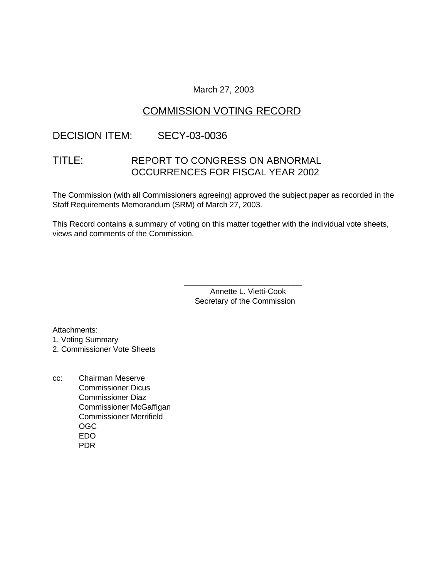### March 27, 2003

## COMMISSION VOTING RECORD

## DECISION ITEM: SECY-03-0036

# TITLE: REPORT TO CONGRESS ON ABNORMAL OCCURRENCES FOR FISCAL YEAR 2002

The Commission (with all Commissioners agreeing) approved the subject paper as recorded in the Staff Requirements Memorandum (SRM) of March 27, 2003.

This Record contains a summary of voting on this matter together with the individual vote sheets, views and comments of the Commission.

> Annette L. Vietti-Cook Secretary of the Commission

\_\_\_\_\_\_\_\_\_\_\_\_\_\_\_\_\_\_\_\_\_\_\_\_\_\_\_

Attachments:

1. Voting Summary

2. Commissioner Vote Sheets

cc: Chairman Meserve Commissioner Dicus Commissioner Diaz Commissioner McGaffigan Commissioner Merrifield OGC EDO PDR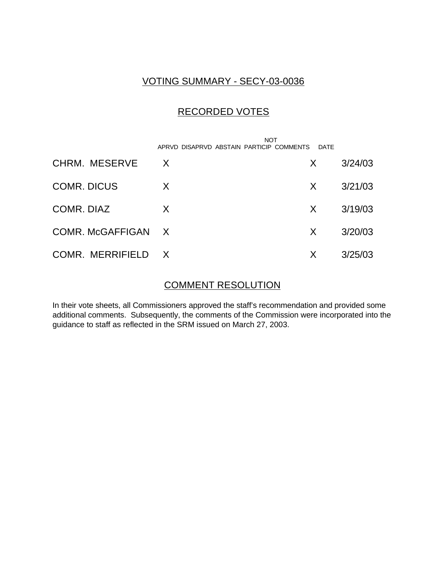## VOTING SUMMARY - SECY-03-0036

# RECORDED VOTES

|                    | <b>NOT</b><br>APRVD DISAPRVD ABSTAIN PARTICIP COMMENTS | <b>DATF</b> |         |
|--------------------|--------------------------------------------------------|-------------|---------|
| CHRM. MESERVE      | X                                                      | X.          | 3/24/03 |
| <b>COMR. DICUS</b> | X                                                      | X           | 3/21/03 |
| COMR, DIAZ         | X                                                      | X           | 3/19/03 |
| COMR. McGAFFIGAN X |                                                        | X           | 3/20/03 |
| COMR. MERRIFIELD X |                                                        | X           | 3/25/03 |

### COMMENT RESOLUTION

In their vote sheets, all Commissioners approved the staff's recommendation and provided some additional comments. Subsequently, the comments of the Commission were incorporated into the guidance to staff as reflected in the SRM issued on March 27, 2003.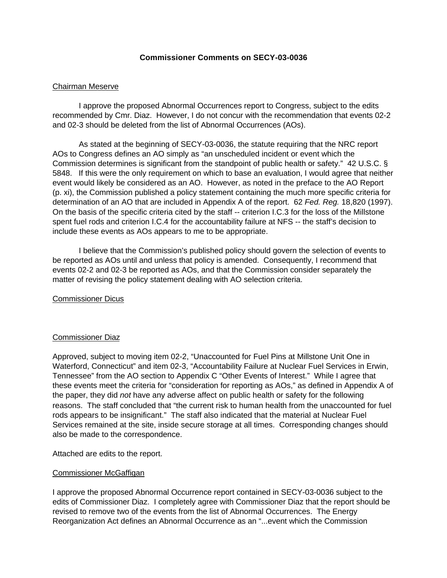### **Commissioner Comments on SECY-03-0036**

### Chairman Meserve

I approve the proposed Abnormal Occurrences report to Congress, subject to the edits recommended by Cmr. Diaz. However, I do not concur with the recommendation that events 02-2 and 02-3 should be deleted from the list of Abnormal Occurrences (AOs).

As stated at the beginning of SECY-03-0036, the statute requiring that the NRC report AOs to Congress defines an AO simply as "an unscheduled incident or event which the Commission determines is significant from the standpoint of public health or safety." 42 U.S.C. § 5848. If this were the only requirement on which to base an evaluation, I would agree that neither event would likely be considered as an AO. However, as noted in the preface to the AO Report (p. xi), the Commission published a policy statement containing the much more specific criteria for determination of an AO that are included in Appendix A of the report. 62 *Fed. Reg.* 18,820 (1997). On the basis of the specific criteria cited by the staff -- criterion I.C.3 for the loss of the Millstone spent fuel rods and criterion I.C.4 for the accountability failure at NFS -- the staff's decision to include these events as AOs appears to me to be appropriate.

I believe that the Commission's published policy should govern the selection of events to be reported as AOs until and unless that policy is amended. Consequently, I recommend that events 02-2 and 02-3 be reported as AOs, and that the Commission consider separately the matter of revising the policy statement dealing with AO selection criteria.

### Commissioner Dicus

### Commissioner Diaz

Approved, subject to moving item 02-2, "Unaccounted for Fuel Pins at Millstone Unit One in Waterford, Connecticut" and item 02-3, "Accountability Failure at Nuclear Fuel Services in Erwin, Tennessee" from the AO section to Appendix C "Other Events of Interest." While I agree that these events meet the criteria for "consideration for reporting as AOs," as defined in Appendix A of the paper, they did *not* have any adverse affect on public health or safety for the following reasons. The staff concluded that "the current risk to human health from the unaccounted for fuel rods appears to be insignificant." The staff also indicated that the material at Nuclear Fuel Services remained at the site, inside secure storage at all times. Corresponding changes should also be made to the correspondence.

Attached are edits to the report.

### Commissioner McGaffigan

I approve the proposed Abnormal Occurrence report contained in SECY-03-0036 subject to the edits of Commissioner Diaz. I completely agree with Commissioner Diaz that the report should be revised to remove two of the events from the list of Abnormal Occurrences. The Energy Reorganization Act defines an Abnormal Occurrence as an "...event which the Commission